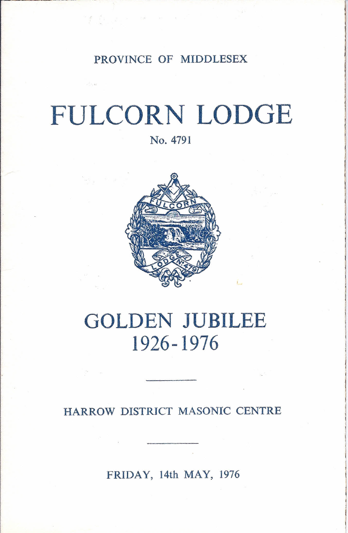PROVINCE OF MIDDLESEX

# **FULCORN LODGE**

No. 4791



# **GOLDEN JUBILEE 1926-1976**

HARROW DISTRICT MASONIC CENTRE

FRIDAY, 14th MAY, 1976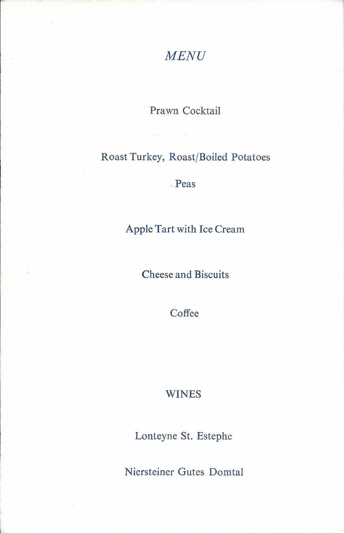### *MENU*

#### Prawn Cocktail

#### Roast Turkey, Roast/Boiled Potatoes

.Peas

#### Apple Tart with Ice Cream

#### Cheese and Biscuits

Coffee

#### WINES

Lonteyne St. Estephe

Niersteiner Gutes Domtal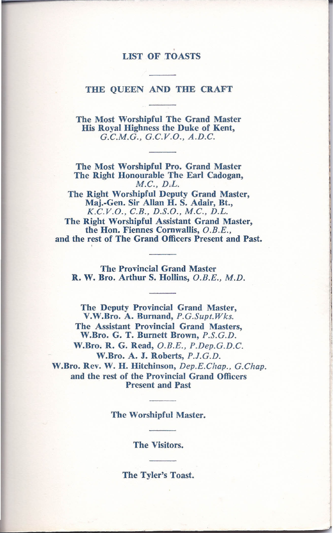#### LIST OF TOASTS

#### THE QUEEN AND THE CRAFT

The Most Worshipful The Grand Master His Royal Highness the Duke of Kent, *G.C.M.G., G.C.V.O., A.D.C.*

The Most Worshipful Pro. Grand Master The Right Honourable The Earl Cadogan, *M.C., D.L.*

The Right Worshipful Deputy Grand Master, Maj.-Gen. Sir Allan H. S. Adair, Bt., *K.C.v.O., G.B., D.S.O., M.C., D.L.*

The Right Worshipful Assistant Grand Master, the Hon. Fiennes Cornwallis, *O.B.E.,* and the rest of The Grand Officers Present and Past.

The Provincial Grand Master R. W. Bro. Arthur S. Hollins, *O.B.E., M.D.*

The Deputy Provincial Grand Master, V.W.Bro. A. Burnand, *P.G.Supt.Wks.* The Assistant Provincial Grand Masters, W.Bro. G. T. Burnett Brown, *P.S.G.D.* W.Bro. R. G. Read, *O.B.E., P.Dep.G.D.C.* W.Bro. A. J. Roberts, *P.J.G.D.* W.Bro. Rev. W. H. Hitchinson, *Dep.E.Chap., G.Chap.* and the rest of the Provincial Grand Officers Present and Past

The Worshipful Master.

The Visitors.

The Tyler's Toast.

 $\mathcal{L}=\mathcal{L}^{\mathcal{L}}$